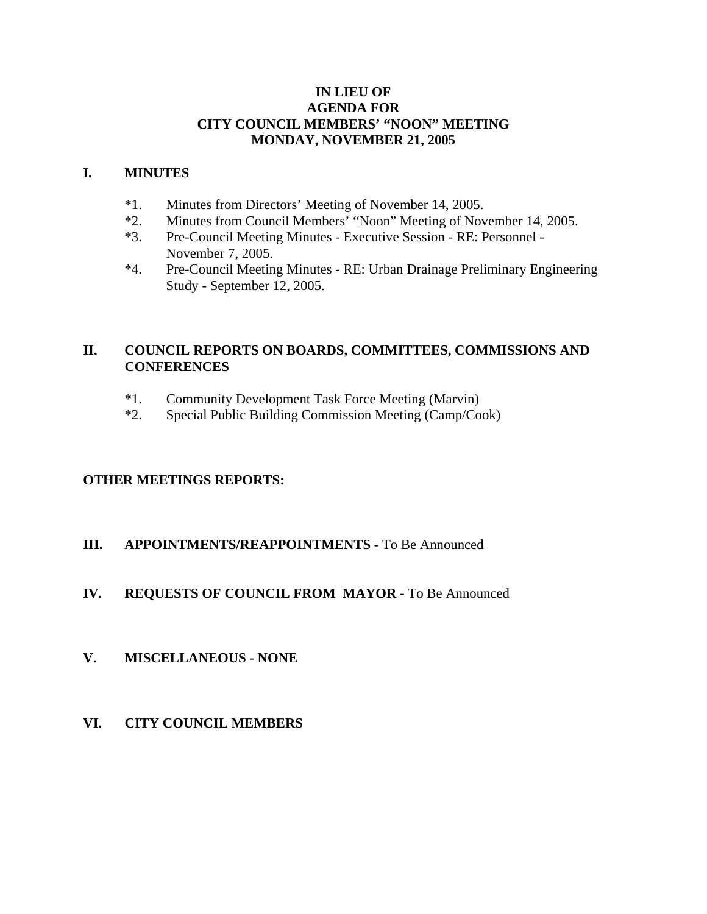#### **IN LIEU OF AGENDA FOR CITY COUNCIL MEMBERS' "NOON" MEETING MONDAY, NOVEMBER 21, 2005**

#### **I. MINUTES**

- \*1. Minutes from Directors' Meeting of November 14, 2005.
- \*2. Minutes from Council Members' "Noon" Meeting of November 14, 2005.
- \*3. Pre-Council Meeting Minutes Executive Session RE: Personnel November 7, 2005.
- \*4. Pre-Council Meeting Minutes RE: Urban Drainage Preliminary Engineering Study - September 12, 2005.

## **II. COUNCIL REPORTS ON BOARDS, COMMITTEES, COMMISSIONS AND CONFERENCES**

- \*1. Community Development Task Force Meeting (Marvin)
- \*2. Special Public Building Commission Meeting (Camp/Cook)

### **OTHER MEETINGS REPORTS:**

### **III.** APPOINTMENTS/REAPPOINTMENTS - To Be Announced

## **IV. REQUESTS OF COUNCIL FROM MAYOR -** To Be Announced

### **V. MISCELLANEOUS - NONE**

**VI. CITY COUNCIL MEMBERS**